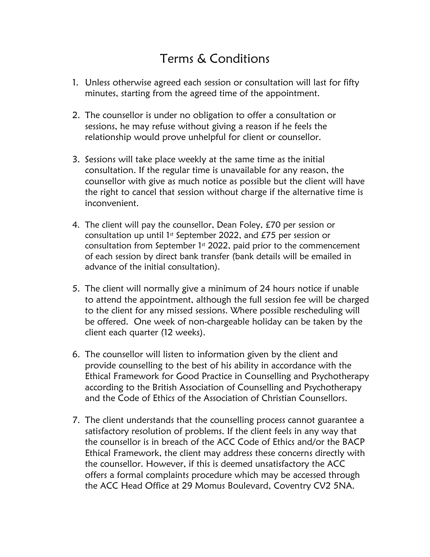## Terms & Conditions

- 1. Unless otherwise agreed each session or consultation will last for fifty minutes, starting from the agreed time of the appointment.
- 2. The counsellor is under no obligation to offer a consultation or sessions, he may refuse without giving a reason if he feels the relationship would prove unhelpful for client or counsellor.
- 3. Sessions will take place weekly at the same time as the initial consultation. If the regular time is unavailable for any reason, the counsellor with give as much notice as possible but the client will have the right to cancel that session without charge if the alternative time is inconvenient.
- 4. The client will pay the counsellor, Dean Foley, £70 per session or consultation up until 1<sup>st</sup> September 2022, and £75 per session or consultation from September  $1<sup>st</sup>$  2022, paid prior to the commencement of each session by direct bank transfer (bank details will be emailed in advance of the initial consultation).
- 5. The client will normally give a minimum of 24 hours notice if unable to attend the appointment, although the full session fee will be charged to the client for any missed sessions. Where possible rescheduling will be offered. One week of non-chargeable holiday can be taken by the client each quarter (12 weeks).
- 6. The counsellor will listen to information given by the client and provide counselling to the best of his ability in accordance with the Ethical Framework for Good Practice in Counselling and Psychotherapy according to the British Association of Counselling and Psychotherapy and the Code of Ethics of the Association of Christian Counsellors.
- 7. The client understands that the counselling process cannot guarantee a satisfactory resolution of problems. If the client feels in any way that the counsellor is in breach of the ACC Code of Ethics and/or the BACP Ethical Framework, the client may address these concerns directly with the counsellor. However, if this is deemed unsatisfactory the ACC offers a formal complaints procedure which may be accessed through the ACC Head Office at 29 Momus Boulevard, Coventry CV2 5NA.